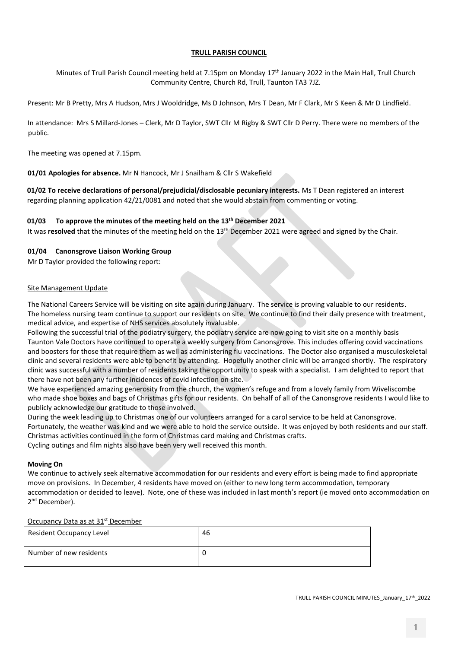#### **TRULL PARISH COUNCIL**

Minutes of Trull Parish Council meeting held at 7.15pm on Monday 17<sup>th</sup> January 2022 in the Main Hall, Trull Church Community Centre, Church Rd, Trull, Taunton TA3 7JZ.

Present: Mr B Pretty, Mrs A Hudson, Mrs J Wooldridge, Ms D Johnson, Mrs T Dean, Mr F Clark, Mr S Keen & Mr D Lindfield.

In attendance: Mrs S Millard-Jones – Clerk, Mr D Taylor, SWT Cllr M Rigby & SWT Cllr D Perry. There were no members of the public.

The meeting was opened at 7.15pm.

**01/01 Apologies for absence.** Mr N Hancock, Mr J Snailham & Cllr S Wakefield

**01/02 To receive declarations of personal/prejudicial/disclosable pecuniary interests.** Ms T Dean registered an interest regarding planning application 42/21/0081 and noted that she would abstain from commenting or voting.

#### **01/03 To approve the minutes of the meeting held on the 13th December 2021**

It was **resolved** that the minutes of the meeting held on the 13<sup>th</sup> December 2021 were agreed and signed by the Chair.

#### **01/04 Canonsgrove Liaison Working Group**

Mr D Taylor provided the following report:

#### Site Management Update

The National Careers Service will be visiting on site again during January. The service is proving valuable to our residents. The homeless nursing team continue to support our residents on site. We continue to find their daily presence with treatment, medical advice, and expertise of NHS services absolutely invaluable.

Following the successful trial of the podiatry surgery, the podiatry service are now going to visit site on a monthly basis Taunton Vale Doctors have continued to operate a weekly surgery from Canonsgrove. This includes offering covid vaccinations and boosters for those that require them as well as administering flu vaccinations. The Doctor also organised a musculoskeletal clinic and several residents were able to benefit by attending. Hopefully another clinic will be arranged shortly. The respiratory clinic was successful with a number of residents taking the opportunity to speak with a specialist. I am delighted to report that there have not been any further incidences of covid infection on site.

We have experienced amazing generosity from the church, the women's refuge and from a lovely family from Wiveliscombe who made shoe boxes and bags of Christmas gifts for our residents. On behalf of all of the Canonsgrove residents I would like to publicly acknowledge our gratitude to those involved.

During the week leading up to Christmas one of our volunteers arranged for a carol service to be held at Canonsgrove. Fortunately, the weather was kind and we were able to hold the service outside. It was enjoyed by both residents and our staff. Christmas activities continued in the form of Christmas card making and Christmas crafts.

Cycling outings and film nights also have been very well received this month.

#### **Moving On**

We continue to actively seek alternative accommodation for our residents and every effort is being made to find appropriate move on provisions. In December, 4 residents have moved on (either to new long term accommodation, temporary accommodation or decided to leave). Note, one of these was included in last month's report (ie moved onto accommodation on 2<sup>nd</sup> December).

#### Occupancy Data as at 31<sup>st</sup> December

| Resident Occupancy Level | 46 |
|--------------------------|----|
| Number of new residents  |    |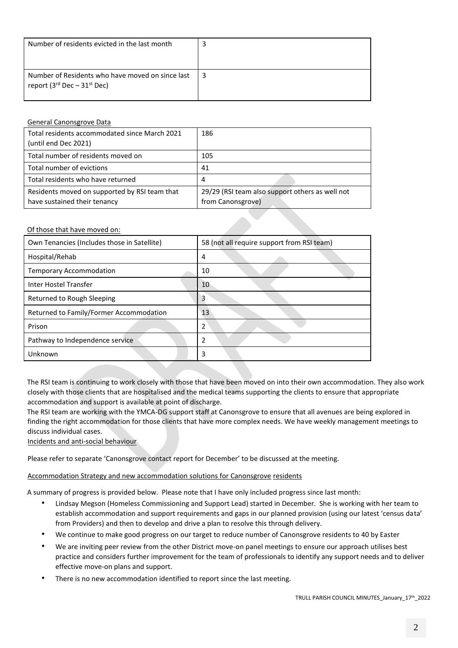| Number of residents evicted in the last month                                                           |  |
|---------------------------------------------------------------------------------------------------------|--|
| Number of Residents who have moved on since last<br>report (3 <sup>rd</sup> Dec – 31 <sup>st</sup> Dec) |  |

# General Canonsgrove Data

| Total residents accommodated since March 2021 | 186                                             |
|-----------------------------------------------|-------------------------------------------------|
| (until end Dec 2021)                          |                                                 |
| Total number of residents moved on            | 105                                             |
| Total number of evictions                     | 41                                              |
| Total residents who have returned             | 4                                               |
| Residents moved on supported by RSI team that | 29/29 (RSI team also support others as well not |
| have sustained their tenancy                  | from Canonsgrove)                               |

# Of those that have moved on:

| Own Tenancies (Includes those in Satellite) | 58 (not all require support from RSI team) |  |  |
|---------------------------------------------|--------------------------------------------|--|--|
| Hospital/Rehab                              | 4                                          |  |  |
| <b>Temporary Accommodation</b>              | 10                                         |  |  |
| Inter Hostel Transfer                       | 10                                         |  |  |
| Returned to Rough Sleeping                  | 3                                          |  |  |
| Returned to Family/Former Accommodation     | 13                                         |  |  |
| Prison                                      | $\mathfrak{p}$                             |  |  |
| Pathway to Independence service             | 2                                          |  |  |
| Unknown                                     | 3                                          |  |  |
|                                             |                                            |  |  |

The RSI team is continuing to work closely with those that have been moved on into their own accommodation. They also work closely with those clients that are hospitalised and the medical teams supporting the clients to ensure that appropriate accommodation and support is available at point of discharge.

The RSI team are working with the YMCA-DG support staff at Canonsgrove to ensure that all avenues are being explored in finding the right accommodation for those clients that have more complex needs. We have weekly management meetings to discuss individual cases.

Incidents and anti-social behaviour

Please refer to separate 'Canonsgrove contact report for December' to be discussed at the meeting.

# Accommodation Strategy and new accommodation solutions for Canonsgrove residents

A summary of progress is provided below. Please note that I have only included progress since last month:

- Lindsay Megson (Homeless Commissioning and Support Lead) started in December. She is working with her team to establish accommodation and support requirements and gaps in our planned provision (using our latest 'census data' from Providers) and then to develop and drive a plan to resolve this through delivery.
- We continue to make good progress on our target to reduce number of Canonsgrove residents to 40 by Easter
- We are inviting peer review from the other District move-on panel meetings to ensure our approach utilises best practice and considers further improvement for the team of professionals to identify any support needs and to deliver effective move-on plans and support.
- There is no new accommodation identified to report since the last meeting.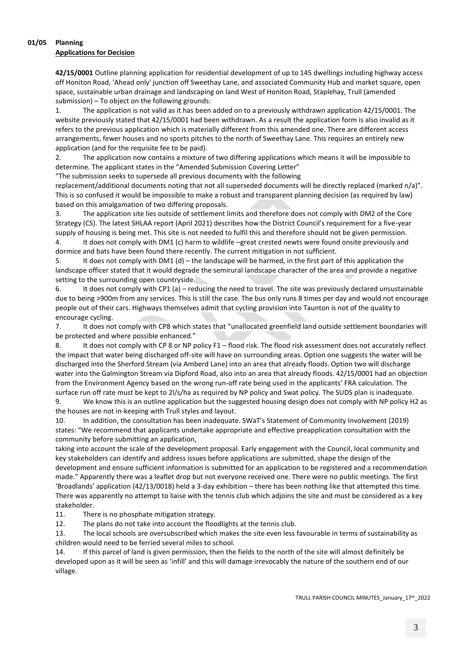# **01/05 Planning**

# **Applications for Decision**

**42/15/0001** Outline planning application for residential development of up to 145 dwellings including highway access off Honiton Road, 'Ahead only' junction off Sweethay Lane, and associated Community Hub and market square, open space, sustainable urban drainage and landscaping on land West of Honiton Road, Staplehay, Trull (amended submission) – To object on the following grounds:

1. The application is not valid as it has been added on to a previously withdrawn application 42/15/0001. The website previously stated that 42/15/0001 had been withdrawn. As a result the application form is also invalid as it refers to the previous application which is materially different from this amended one. There are different access arrangements, fewer houses and no sports pitches to the north of Sweethay Lane. This requires an entirely new application (and for the requisite fee to be paid).

2. The application now contains a mixture of two differing applications which means it will be impossible to determine. The applicant states in the "Amended Submission Covering Letter"

"The submission seeks to supersede all previous documents with the following

replacement/additional documents noting that not all superseded documents will be directly replaced (marked n/a)". This is so confused it would be impossible to make a robust and transparent planning decision (as required by law) based on this amalgamation of two differing proposals.

3. The application site lies outside of settlement limits and therefore does not comply with DM2 of the Core Strategy (CS). The latest SHLAA report (April 2021) describes how the District Council's requirement for a five-year supply of housing is being met. This site is not needed to fulfil this and therefore should not be given permission. 4. It does not comply with DM1 (c) harm to wildlife –great crested newts were found onsite previously and dormice and bats have been found there recently. The current mitigation in not sufficient.

5. It does not comply with DM1 (d) – the landscape will be harmed, in the first part of this application the landscape officer stated that it would degrade the semirural landscape character of the area and provide a negative setting to the surrounding open countryside.

6. It does not comply with CP1 (a) – reducing the need to travel. The site was previously declared unsustainable due to being >900m from any services. This is still the case. The bus only runs 8 times per day and would not encourage people out of their cars. Highways themselves admit that cycling provision into Taunton is not of the quality to encourage cycling.

7. It does not comply with CP8 which states that "unallocated greenfield land outside settlement boundaries will be protected and where possible enhanced."

8. It does not comply with CP 8 or NP policy F1 – flood risk. The flood risk assessment does not accurately reflect the impact that water being discharged off-site will have on surrounding areas. Option one suggests the water will be discharged into the Sherford Stream (via Amberd Lane) into an area that already floods. Option two will discharge water into the Galmington Stream via Dipford Road, also into an area that already floods. 42/15/0001 had an objection from the Environment Agency based on the wrong run-off rate being used in the applicants' FRA calculation. The surface run off rate must be kept to 2l/s/ha as required by NP policy and Swat policy. The SUDS plan is inadequate.

9. We know this is an outline application but the suggested housing design does not comply with NP policy H2 as the houses are not in-keeping with Trull styles and layout.

10. In addition, the consultation has been inadequate. SWaT's Statement of Community Involvement (2019) states: "We recommend that applicants undertake appropriate and effective preapplication consultation with the community before submitting an application,

taking into account the scale of the development proposal. Early engagement with the Council, local community and key stakeholders can identify and address issues before applications are submitted, shape the design of the development and ensure sufficient information is submitted for an application to be registered and a recommendation made." Apparently there was a leaflet drop but not everyone received one. There were no public meetings. The first 'Broadlands' application (42/13/0018) held a 3-day exhibition – there has been nothing like that attempted this time. There was apparently no attempt to liaise with the tennis club which adjoins the site and must be considered as a key stakeholder.

11. There is no phosphate mitigation strategy.

12. The plans do not take into account the floodlights at the tennis club.

13. The local schools are oversubscribed which makes the site even less favourable in terms of sustainability as children would need to be ferried several miles to school.

14. If this parcel of land is given permission, then the fields to the north of the site will almost definitely be developed upon as it will be seen as 'infill' and this will damage irrevocably the nature of the southern end of our village.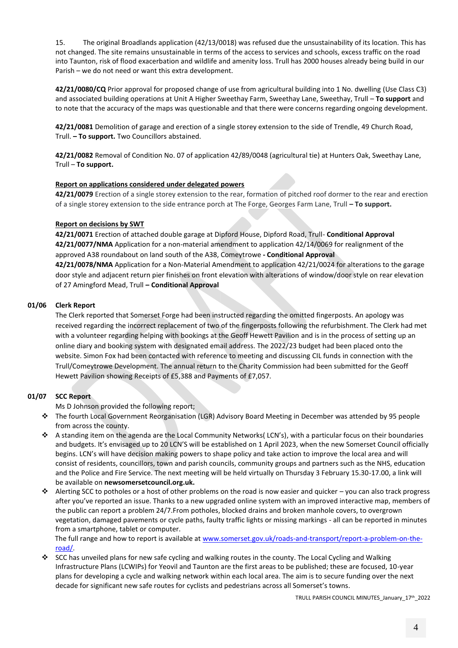15. The original Broadlands application (42/13/0018) was refused due the unsustainability of its location. This has not changed. The site remains unsustainable in terms of the access to services and schools, excess traffic on the road into Taunton, risk of flood exacerbation and wildlife and amenity loss. Trull has 2000 houses already being build in our Parish – we do not need or want this extra development.

**42/21/0080/CQ** Prior approval for proposed change of use from agricultural building into 1 No. dwelling (Use Class C3) and associated building operations at Unit A Higher Sweethay Farm, Sweethay Lane, Sweethay, Trull – **To support** and to note that the accuracy of the maps was questionable and that there were concerns regarding ongoing development.

**42/21/0081** Demolition of garage and erection of a single storey extension to the side of Trendle, 49 Church Road, Trull. **– To support.** Two Councillors abstained.

**42/21/0082** Removal of Condition No. 07 of application 42/89/0048 (agricultural tie) at Hunters Oak, Sweethay Lane, Trull – **To support.**

#### **Report on applications considered under delegated powers**

**42/21/0079** Erection of a single storey extension to the rear, formation of pitched roof dormer to the rear and erection of a single storey extension to the side entrance porch at The Forge, Georges Farm Lane, Trull **– To support.**

#### **Report on decisions by SWT**

**42/21/0071** Erection of attached double garage at Dipford House, Dipford Road, Trull- **Conditional Approval 42/21/0077/NMA** Application for a non-material amendment to application 42/14/0069 for realignment of the approved A38 roundabout on land south of the A38, Comeytrowe **- Conditional Approval**

**42/21/0078/NMA** Application for a Non-Material Amendment to application 42/21/0024 for alterations to the garage door style and adjacent return pier finishes on front elevation with alterations of window/door style on rear elevation of 27 Amingford Mead, Trull **– Conditional Approval**

#### **01/06 Clerk Report**

The Clerk reported that Somerset Forge had been instructed regarding the omitted fingerposts. An apology was received regarding the incorrect replacement of two of the fingerposts following the refurbishment. The Clerk had met with a volunteer regarding helping with bookings at the Geoff Hewett Pavilion and is in the process of setting up an online diary and booking system with designated email address. The 2022/23 budget had been placed onto the website. Simon Fox had been contacted with reference to meeting and discussing CIL funds in connection with the Trull/Comeytrowe Development. The annual return to the Charity Commission had been submitted for the Geoff Hewett Pavilion showing Receipts of £5,388 and Payments of £7,057.

# **01/07 SCC Report**

Ms D Johnson provided the following report;

- ❖ The fourth Local Government Reorganisation (LGR) Advisory Board Meeting in December was attended by 95 people from across the county.
- ❖ A standing item on the agenda are the Local Community Networks( LCN's), with a particular focus on their boundaries and budgets. It's envisaged up to 20 LCN'S will be established on 1 April 2023, when the new Somerset Council officially begins. LCN's will have decision making powers to shape policy and take action to improve the local area and will consist of residents, councillors, town and parish councils, community groups and partners such as the NHS, education and the Police and Fire Service. The next meeting will be held virtually on Thursday 3 February 15.30-17.00, a link will be available on **newsomersetcouncil.org.uk.**
- ❖ Alerting SCC to potholes or a host of other problems on the road is now easier and quicker you can also track progress after you've reported an issue. Thanks to a new upgraded online system with an improved interactive map, members of the public can report a problem 24/7.From potholes, blocked drains and broken manhole covers, to overgrown vegetation, damaged pavements or cycle paths, faulty traffic lights or missing markings - all can be reported in minutes from a smartphone, tablet or computer.

The full range and how to report is available at [www.somerset.gov.uk/roads-and-transport/report-a-problem-on-the](http://www.somerset.gov.uk/roads-and-transport/report-a-problem-on-the-road/)[road/.](http://www.somerset.gov.uk/roads-and-transport/report-a-problem-on-the-road/)

❖ SCC has unveiled plans for new safe cycling and walking routes in the county. The Local Cycling and Walking Infrastructure Plans (LCWIPs) for Yeovil and Taunton are the first areas to be published; these are focused, 10-year plans for developing a cycle and walking network within each local area. The aim is to secure funding over the next decade for significant new safe routes for cyclists and pedestrians across all Somerset's towns.

TRULL PARISH COUNCIL MINUTES\_January\_17th\_2022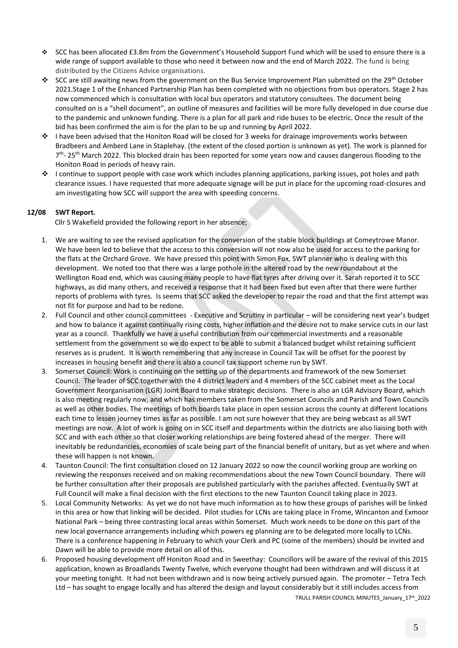- ❖ SCC has been allocated £3.8m from the Government's Household Support Fund which will be used to ensure there is a wide range of support available to those who need it between now and the end of March 2022. The fund is being distributed by the Citizens Advice organisations.
- ❖ SCC are still awaiting news from the government on the Bus Service Improvement Plan submitted on the 29<sup>th</sup> October 2021.Stage 1 of the Enhanced Partnership Plan has been completed with no objections from bus operators. Stage 2 has now commenced which is consultation with local bus operators and statutory consultees. The document being consulted on is a "shell document", an outline of measures and facilities will be more fully developed in due course due to the pandemic and unknown funding. There is a plan for all park and ride buses to be electric. Once the result of the bid has been confirmed the aim is for the plan to be up and running by April 2022.
- ❖ I have been advised that the Honiton Road will be closed for 3 weeks for drainage improvements works between Bradbeers and Amberd Lane in Staplehay. (the extent of the closed portion is unknown as yet). The work is planned for 7<sup>th</sup>- 25<sup>th</sup> March 2022. This blocked drain has been reported for some years now and causes dangerous flooding to the Honiton Road in periods of heavy rain.
- ❖ I continue to support people with case work which includes planning applications, parking issues, pot holes and path clearance issues. I have requested that more adequate signage will be put in place for the upcoming road-closures and am investigating how SCC will support the area with speeding concerns.

# **12/08 SWT Report.**

Cllr S Wakefield provided the following report in her absence;

- 1. We are waiting to see the revised application for the conversion of the stable block buildings at Comeytrowe Manor. We have been led to believe that the access to this conversion will not now also be used for access to the parking for the flats at the Orchard Grove. We have pressed this point with Simon Fox, SWT planner who is dealing with this development. We noted too that there was a large pothole in the altered road by the new roundabout at the Wellington Road end, which was causing many people to have flat tyres after driving over it. Sarah reported it to SCC highways, as did many others, and received a response that it had been fixed but even after that there were further reports of problems with tyres. Is seems that SCC asked the developer to repair the road and that the first attempt was not fit for purpose and had to be redone.
- 2. Full Council and other council committees Executive and Scrutiny in particular will be considering next year's budget and how to balance it against continually rising costs, higher inflation and the desire not to make service cuts in our last year as a council. Thankfully we have a useful contribution from our commercial investments and a reasonable settlement from the government so we do expect to be able to submit a balanced budget whilst retaining sufficient reserves as is prudent. It is worth remembering that any increase in Council Tax will be offset for the poorest by increases in housing benefit and there is also a council tax support scheme run by SWT.
- 3. Somerset Council: Work is continuing on the setting up of the departments and framework of the new Somerset Council. The leader of SCC together with the 4 district leaders and 4 members of the SCC cabinet meet as the Local Government Reorganisation (LGR) Joint Board to make strategic decisions. There is also an LGR Advisory Board, which is also meeting regularly now, and which has members taken from the Somerset Councils and Parish and Town Councils as well as other bodies. The meetings of both boards take place in open session across the county at different locations each time to lessen journey times as far as possible. I am not sure however that they are being webcast as all SWT meetings are now. A lot of work is going on in SCC itself and departments within the districts are also liaising both with SCC and with each other so that closer working relationships are being fostered ahead of the merger. There will inevitably be redundancies, economies of scale being part of the financial benefit of unitary, but as yet where and when these will happen is not known.
- 4. Taunton Council: The first consultation closed on 12 January 2022 so now the council working group are working on reviewing the responses received and on making recommendations about the new Town Council boundary. There will be further consultation after their proposals are published particularly with the parishes affected. Eventually SWT at Full Council will make a final decision with the first elections to the new Taunton Council taking place in 2023.
- 5. Local Community Networks: As yet we do not have much information as to how these groups of parishes will be linked in this area or how that linking will be decided. Pilot studies for LCNs are taking place in Frome, Wincanton and Exmoor National Park – being three contrasting local areas within Somerset. Much work needs to be done on this part of the new local governance arrangements including which powers eg planning are to be delegated more locally to LCNs. There is a conference happening in February to which your Clerk and PC (some of the members) should be invited and Dawn will be able to provide more detail on all of this.
- 6. Proposed housing development off Honiton Road and in Sweethay: Councillors will be aware of the revival of this 2015 application, known as Broadlands Twenty Twelve, which everyone thought had been withdrawn and will discuss it at your meeting tonight. It had not been withdrawn and is now being actively pursued again. The promoter – Tetra Tech Ltd – has sought to engage locally and has altered the design and layout considerably but it still includes access from

TRULL PARISH COUNCIL MINUTES\_January\_17th\_2022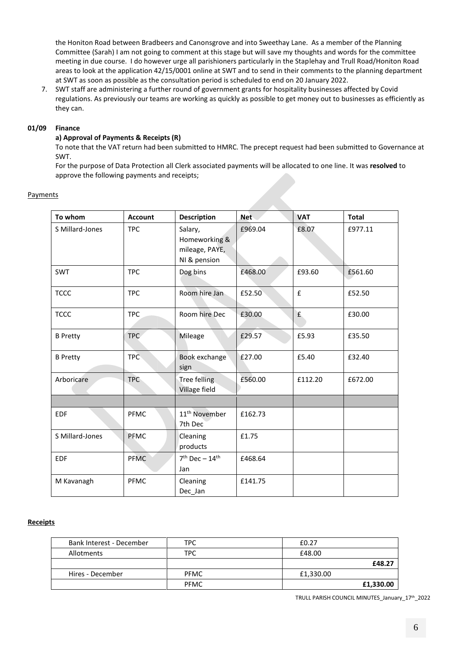the Honiton Road between Bradbeers and Canonsgrove and into Sweethay Lane. As a member of the Planning Committee (Sarah) I am not going to comment at this stage but will save my thoughts and words for the committee meeting in due course. I do however urge all parishioners particularly in the Staplehay and Trull Road/Honiton Road areas to look at the application 42/15/0001 online at SWT and to send in their comments to the planning department at SWT as soon as possible as the consultation period is scheduled to end on 20 January 2022.

7. SWT staff are administering a further round of government grants for hospitality businesses affected by Covid regulations. As previously our teams are working as quickly as possible to get money out to businesses as efficiently as they can.

#### **01/09 Finance**

#### **a) Approval of Payments & Receipts (R)**

To note that the VAT return had been submitted to HMRC. The precept request had been submitted to Governance at SWT.

For the purpose of Data Protection all Clerk associated payments will be allocated to one line. It was **resolved** to approve the following payments and receipts;

| avments |  |
|---------|--|
|         |  |

| To whom         | <b>Account</b> | <b>Description</b>                                         | <b>Net</b> | <b>VAT</b> | <b>Total</b> |
|-----------------|----------------|------------------------------------------------------------|------------|------------|--------------|
| S Millard-Jones | <b>TPC</b>     | Salary,<br>Homeworking &<br>mileage, PAYE,<br>NI & pension | £969.04    | £8.07      | £977.11      |
| <b>SWT</b>      | <b>TPC</b>     | Dog bins                                                   | £468.00    | £93.60     | £561.60      |
| <b>TCCC</b>     | <b>TPC</b>     | Room hire Jan                                              | £52.50     | £          | £52.50       |
| <b>TCCC</b>     | <b>TPC</b>     | Room hire Dec                                              | £30.00     | f          | £30.00       |
| <b>B</b> Pretty | <b>TPC</b>     | Mileage                                                    | £29.57     | £5.93      | £35.50       |
| <b>B</b> Pretty | <b>TPC</b>     | Book exchange<br>sign                                      | £27.00     | £5.40      | £32.40       |
| Arboricare      | <b>TPC</b>     | Tree felling<br><b>Village field</b>                       | £560.00    | £112.20    | £672.00      |
|                 |                |                                                            |            |            |              |
| <b>EDF</b>      | PFMC           | 11 <sup>th</sup> November<br>7th Dec                       | £162.73    |            |              |
| S Millard-Jones | <b>PFMC</b>    | Cleaning<br>products                                       | £1.75      |            |              |
| <b>EDF</b>      | <b>PFMC</b>    | $7th$ Dec - 14 <sup>th</sup><br>Jan                        | £468.64    |            |              |
| M Kavanagh      | PFMC           | Cleaning<br>Dec Jan                                        | £141.75    |            |              |

# **Receipts**

| Bank Interest - December | TPC.        | £0.27     |
|--------------------------|-------------|-----------|
| Allotments               | TPC         | £48.00    |
|                          |             | £48.27    |
| Hires - December         | <b>PFMC</b> | £1,330.00 |
|                          | <b>PFMC</b> | £1,330.00 |

TRULL PARISH COUNCIL MINUTES\_January\_17th\_2022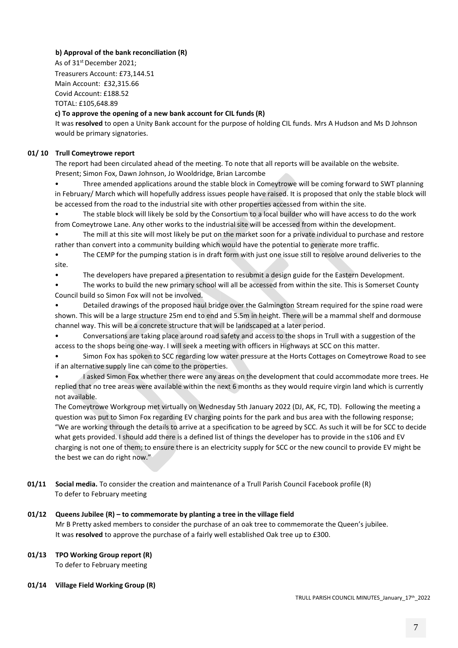# **b) Approval of the bank reconciliation (R)**

As of 31<sup>st</sup> December 2021:

Treasurers Account: £73,144.51 Main Account: £32,315.66 Covid Account: £188.52 TOTAL: £105,648.89

# **c) To approve the opening of a new bank account for CIL funds (R)**

It was **resolved** to open a Unity Bank account for the purpose of holding CIL funds. Mrs A Hudson and Ms D Johnson would be primary signatories.

# **01/ 10 Trull Comeytrowe report**

The report had been circulated ahead of the meeting. To note that all reports will be available on the website. Present; Simon Fox, Dawn Johnson, Jo Wooldridge, Brian Larcombe

• Three amended applications around the stable block in Comeytrowe will be coming forward to SWT planning in February/ March which will hopefully address issues people have raised. It is proposed that only the stable block will be accessed from the road to the industrial site with other properties accessed from within the site.

• The stable block will likely be sold by the Consortium to a local builder who will have access to do the work from Comeytrowe Lane. Any other works to the industrial site will be accessed from within the development.

• The mill at this site will most likely be put on the market soon for a private individual to purchase and restore rather than convert into a community building which would have the potential to generate more traffic.

The CEMP for the pumping station is in draft form with just one issue still to resolve around deliveries to the site.

• The developers have prepared a presentation to resubmit a design guide for the Eastern Development.

The works to build the new primary school will all be accessed from within the site. This is Somerset County Council build so Simon Fox will not be involved.

• Detailed drawings of the proposed haul bridge over the Galmington Stream required for the spine road were shown. This will be a large structure 25m end to end and 5.5m in height. There will be a mammal shelf and dormouse channel way. This will be a concrete structure that will be landscaped at a later period.

• Conversations are taking place around road safety and access to the shops in Trull with a suggestion of the access to the shops being one-way. I will seek a meeting with officers in Highways at SCC on this matter.

• Simon Fox has spoken to SCC regarding low water pressure at the Horts Cottages on Comeytrowe Road to see if an alternative supply line can come to the properties.

• I asked Simon Fox whether there were any areas on the development that could accommodate more trees. He replied that no tree areas were available within the next 6 months as they would require virgin land which is currently not available.

The Comeytrowe Workgroup met virtually on Wednesday 5th January 2022 (DJ, AK, FC, TD). Following the meeting a question was put to Simon Fox regarding EV charging points for the park and bus area with the following response; "We are working through the details to arrive at a specification to be agreed by SCC. As such it will be for SCC to decide what gets provided. I should add there is a defined list of things the developer has to provide in the s106 and EV charging is not one of them; to ensure there is an electricity supply for SCC or the new council to provide EV might be the best we can do right now."

**01/11 Social media.** To consider the creation and maintenance of a Trull Parish Council Facebook profile (R) To defer to February meeting

# **01/12 Queens Jubilee (R) – to commemorate by planting a tree in the village field**

Mr B Pretty asked members to consider the purchase of an oak tree to commemorate the Queen's jubilee. It was **resolved** to approve the purchase of a fairly well established Oak tree up to £300.

# **01/13 TPO Working Group report (R)**

To defer to February meeting

# **01/14 Village Field Working Group (R)**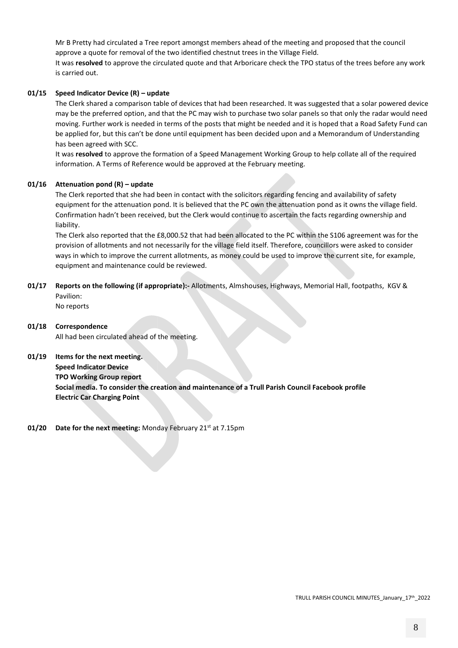Mr B Pretty had circulated a Tree report amongst members ahead of the meeting and proposed that the council approve a quote for removal of the two identified chestnut trees in the Village Field. It was **resolved** to approve the circulated quote and that Arboricare check the TPO status of the trees before any work is carried out.

# **01/15 Speed Indicator Device (R) – update**

The Clerk shared a comparison table of devices that had been researched. It was suggested that a solar powered device may be the preferred option, and that the PC may wish to purchase two solar panels so that only the radar would need moving. Further work is needed in terms of the posts that might be needed and it is hoped that a Road Safety Fund can be applied for, but this can't be done until equipment has been decided upon and a Memorandum of Understanding has been agreed with SCC.

It was **resolved** to approve the formation of a Speed Management Working Group to help collate all of the required information. A Terms of Reference would be approved at the February meeting.

# **01/16 Attenuation pond (R) – update**

The Clerk reported that she had been in contact with the solicitors regarding fencing and availability of safety equipment for the attenuation pond. It is believed that the PC own the attenuation pond as it owns the village field. Confirmation hadn't been received, but the Clerk would continue to ascertain the facts regarding ownership and liability.

The Clerk also reported that the £8,000.52 that had been allocated to the PC within the S106 agreement was for the provision of allotments and not necessarily for the village field itself. Therefore, councillors were asked to consider ways in which to improve the current allotments, as money could be used to improve the current site, for example, equipment and maintenance could be reviewed.

**01/17 Reports on the following (if appropriate):-** Allotments, Almshouses, Highways, Memorial Hall, footpaths, KGV & Pavilion:

No reports

- **01/18 Correspondence**  All had been circulated ahead of the meeting.
- **01/19 Items for the next meeting.**

**Speed Indicator Device TPO Working Group report Social media. To consider the creation and maintenance of a Trull Parish Council Facebook profile Electric Car Charging Point**

**01/20 Date for the next meeting: Monday February 21st at 7.15pm**